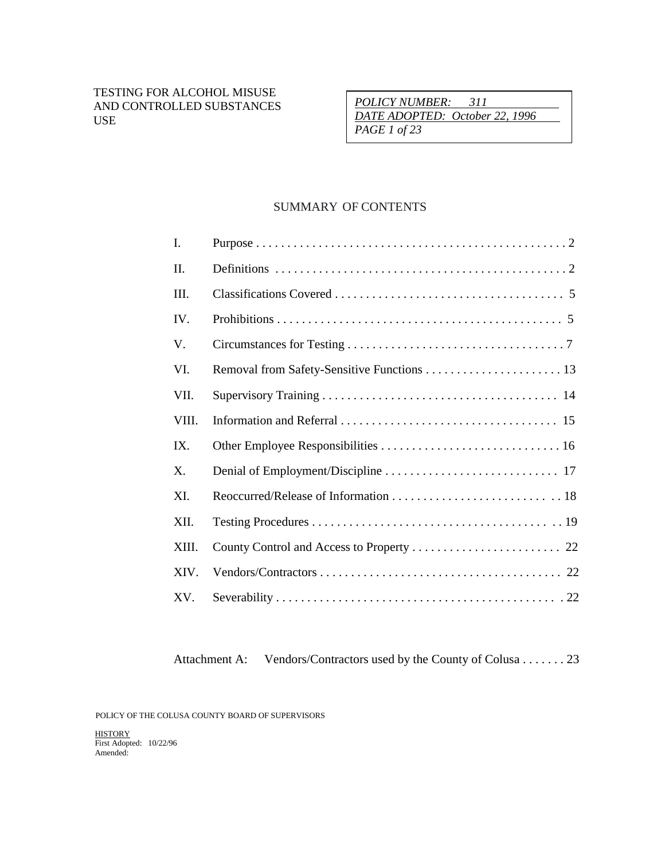*POLICY NUMBER: 311 DATE ADOPTED: October 22, 1996 PAGE 1 of 23*

## SUMMARY OF CONTENTS

| I.    |  |
|-------|--|
| II.   |  |
| III.  |  |
| IV.   |  |
| V.    |  |
| VI.   |  |
| VII.  |  |
| VIII. |  |
| IX.   |  |
| Χ.    |  |
| XI.   |  |
| XII.  |  |
| XIII. |  |
| XIV.  |  |
| XV.   |  |

Attachment A: Vendors/Contractors used by the County of Colusa . . . . . . . 23

POLICY OF THE COLUSA COUNTY BOARD OF SUPERVISORS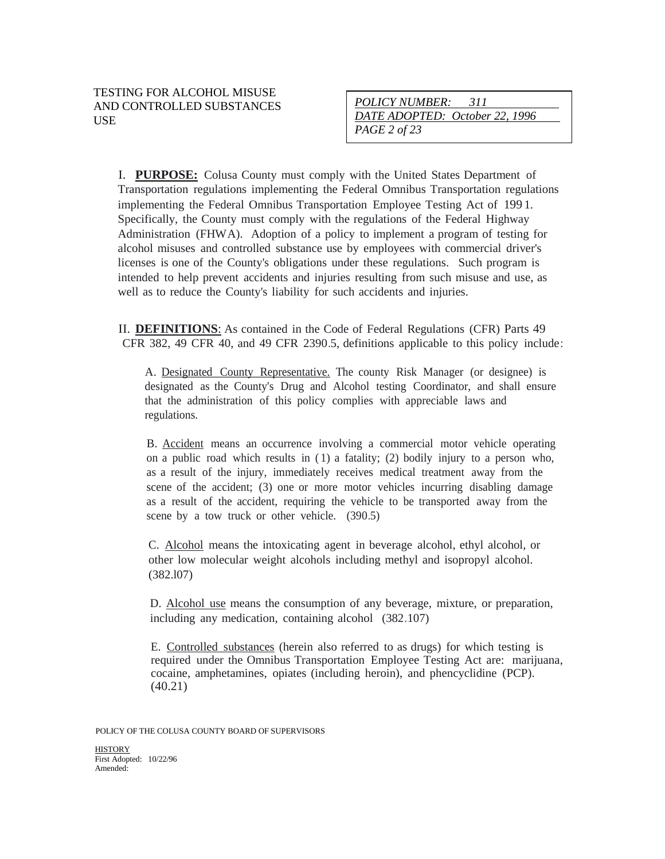| POLICY NUMBER: 311             |  |
|--------------------------------|--|
| DATE ADOPTED: October 22, 1996 |  |
| <i>PAGE 2 of 23</i>            |  |

I. **PURPOSE:** Colusa County must comply with the United States Department of Transportation regulations implementing the Federal Omnibus Transportation regulations implementing the Federal Omnibus Transportation Employee Testing Act of 199 1. Specifically, the County must comply with the regulations of the Federal Highway Administration (FHWA). Adoption of a policy to implement a program of testing for alcohol misuses and controlled substance use by employees with commercial driver's licenses is one of the County's obligations under these regulations. Such program is intended to help prevent accidents and injuries resulting from such misuse and use, as well as to reduce the County's liability for such accidents and injuries.

II. **DEFINITIONS**: As contained in the Code of Federal Regulations (CFR) Parts 49 CFR 382, 49 CFR 40, and 49 CFR 2390.5, definitions applicable to this policy include:

A. Designated County Representative. The county Risk Manager (or designee) is designated as the County's Drug and Alcohol testing Coordinator, and shall ensure that the administration of this policy complies with appreciable laws and regulations.

B. Accident means an occurrence involving a commercial motor vehicle operating on a public road which results in ( 1) a fatality; (2) bodily injury to a person who, as a result of the injury, immediately receives medical treatment away from the scene of the accident; (3) one or more motor vehicles incurring disabling damage as a result of the accident, requiring the vehicle to be transported away from the scene by a tow truck or other vehicle. (390.5)

C. Alcohol means the intoxicating agent in beverage alcohol, ethyl alcohol, or other low molecular weight alcohols including methyl and isopropyl alcohol. (382.l07)

D. Alcohol use means the consumption of any beverage, mixture, or preparation, including any medication, containing alcohol (382.107)

E. Controlled substances (herein also referred to as drugs) for which testing is required under the Omnibus Transportation Employee Testing Act are: marijuana, cocaine, amphetamines, opiates (including heroin), and phencyclidine (PCP). (40.21)

POLICY OF THE COLUSA COUNTY BOARD OF SUPERVISORS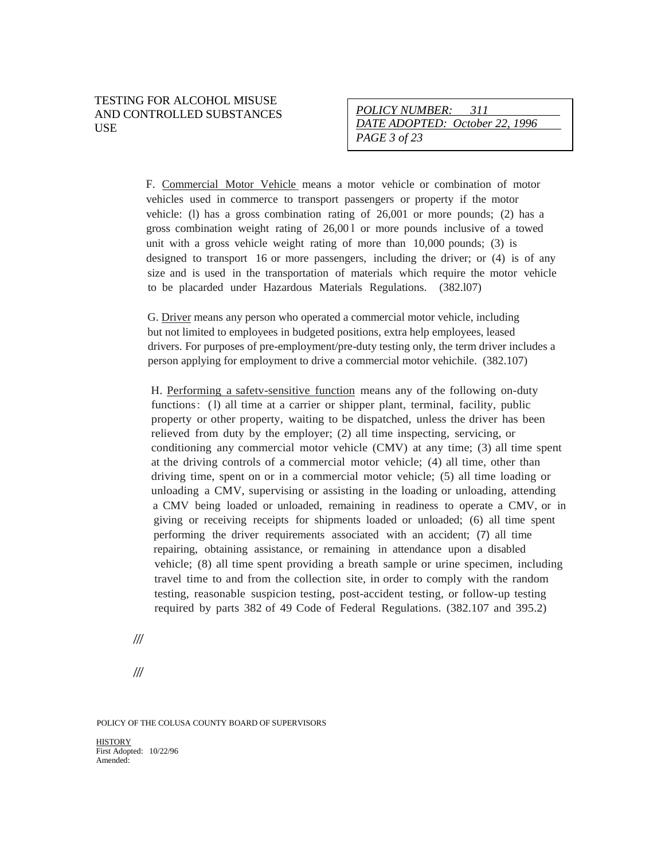#### TESTING FOR ALCOHOL MISUSE AND CONTROLLED SUBSTANCES USE

| <i>POLICY NUMBER:</i><br>-311  |
|--------------------------------|
| DATE ADOPTED: October 22, 1996 |
| PAGE 3 of $23$                 |

F. Commercial Motor Vehicle means a motor vehicle or combination of motor vehicles used in commerce to transport passengers or property if the motor vehicle: (l) has a gross combination rating of 26,001 or more pounds; (2) has a gross combination weight rating of 26,00 l or more pounds inclusive of a towed unit with a gross vehicle weight rating of more than 10,000 pounds; (3) is designed to transport 16 or more passengers, including the driver; or (4) is of any size and is used in the transportation of materials which require the motor vehicle to be placarded under Hazardous Materials Regulations. (382.l07)

G. Driver means any person who operated a commercial motor vehicle, including but not limited to employees in budgeted positions, extra help employees, leased drivers. For purposes of pre-employment/pre-duty testing only, the term driver includes a person applying for employment to drive a commercial motor vehichile. (382.107)

H. Performing a safetv-sensitive function means any of the following on-duty functions: (1) all time at a carrier or shipper plant, terminal, facility, public property or other property, waiting to be dispatched, unless the driver has been relieved from duty by the employer; (2) all time inspecting, servicing, or conditioning any commercial motor vehicle (CMV) at any time; (3) all time spent at the driving controls of a commercial motor vehicle; (4) all time, other than driving time, spent on or in a commercial motor vehicle; (5) all time loading or unloading a CMV, supervising or assisting in the loading or unloading, attending a CMV being loaded or unloaded, remaining in readiness to operate a CMV, or in giving or receiving receipts for shipments loaded or unloaded; (6) all time spent performing the driver requirements associated with an accident; (7) all time repairing, obtaining assistance, or remaining in attendance upon a disabled vehicle; (8) all time spent providing a breath sample or urine specimen, including travel time to and from the collection site, in order to comply with the random testing, reasonable suspicion testing, post-accident testing, or follow-up testing required by parts 382 of 49 Code of Federal Regulations. (382.107 and 395.2)

*///*

*///*

POLICY OF THE COLUSA COUNTY BOARD OF SUPERVISORS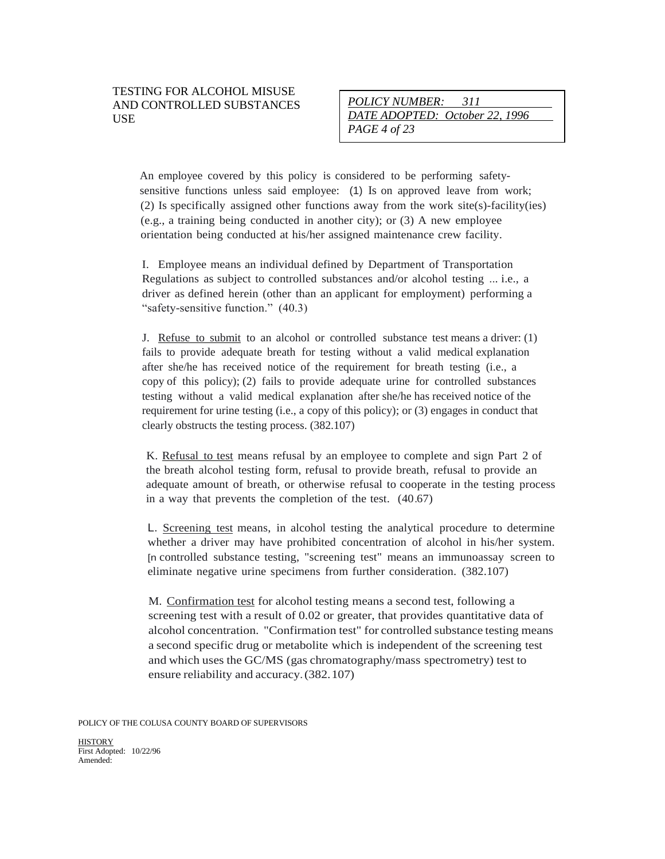An employee covered by this policy is considered to be performing safetysensitive functions unless said employee: (1) Is on approved leave from work; (2) Is specifically assigned other functions away from the work site(s)-facility(ies) (e.g., a training being conducted in another city); or (3) A new employee orientation being conducted at his/her assigned maintenance crew facility.

I. Employee means an individual defined by Department of Transportation Regulations as subject to controlled substances and/or alcohol testing ... i.e., a driver as defined herein (other than an applicant for employment) performing a "safety-sensitive function." (40.3)

J. Refuse to submit to an alcohol or controlled substance test means a driver: (1) fails to provide adequate breath for testing without a valid medical explanation after she/he has received notice of the requirement for breath testing (i.e., a copy of this policy); (2) fails to provide adequate urine for controlled substances testing without a valid medical explanation after she/he has received notice of the requirement for urine testing (i.e., a copy of this policy); or (3) engages in conduct that clearly obstructs the testing process. (382.107)

K. Refusal to test means refusal by an employee to complete and sign Part 2 of the breath alcohol testing form, refusal to provide breath, refusal to provide an adequate amount of breath, or otherwise refusal to cooperate in the testing process in a way that prevents the completion of the test. (40.67)

L. Screening test means, in alcohol testing the analytical procedure to determine whether a driver may have prohibited concentration of alcohol in his/her system. [n controlled substance testing, "screening test" means an immunoassay screen to eliminate negative urine specimens from further consideration. (382.107)

M. Confirmation test for alcohol testing means a second test, following a screening test with a result of 0.02 or greater, that provides quantitative data of alcohol concentration. "Confirmation test" for controlled substance testing means a second specific drug or metabolite which is independent of the screening test and which uses the GC/MS (gas chromatography/mass spectrometry) test to ensure reliability and accuracy.(382.107)

POLICY OF THE COLUSA COUNTY BOARD OF SUPERVISORS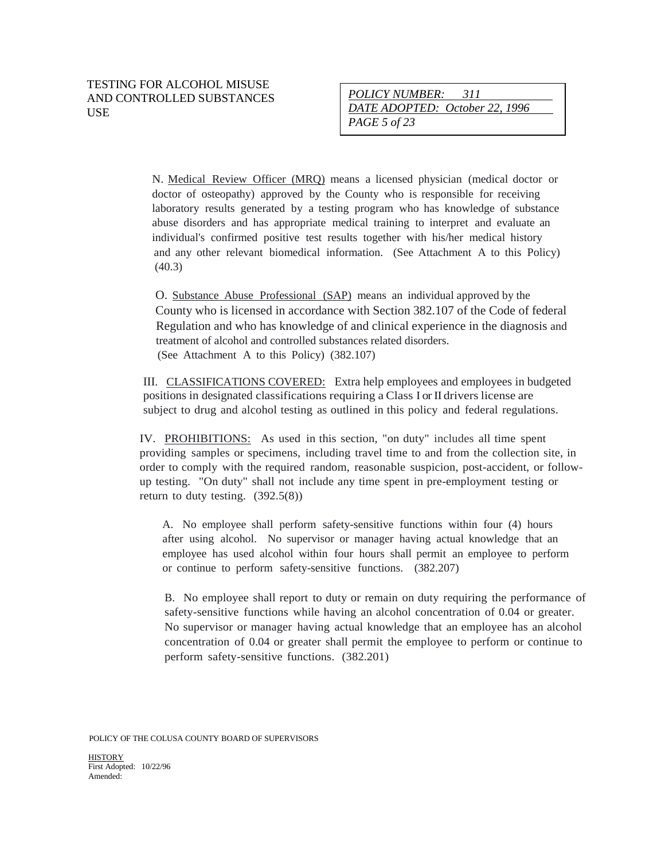N. Medical Review Officer (MRQ) means a licensed physician (medical doctor or doctor of osteopathy) approved by the County who is responsible for receiving laboratory results generated by a testing program who has knowledge of substance abuse disorders and has appropriate medical training to interpret and evaluate an individual's confirmed positive test results together with his/her medical history and any other relevant biomedical information. (See Attachment A to this Policy) (40.3)

O. Substance Abuse Professional (SAP) means an individual approved by the County who is licensed in accordance with Section 382.107 of the Code of federal Regulation and who has knowledge of and clinical experience in the diagnosis and treatment of alcohol and controlled substances related disorders. (See Attachment A to this Policy) (382.107)

III. CLASSIFICATIONS COVERED: Extra help employees and employees in budgeted positions in designated classifications requiring a Class I or II drivers license are subject to drug and alcohol testing as outlined in this policy and federal regulations.

IV. PROHIBITIONS: As used in this section, "on duty" includes all time spent providing samples or specimens, including travel time to and from the collection site, in order to comply with the required random, reasonable suspicion, post-accident, or followup testing. "On duty" shall not include any time spent in pre-employment testing or return to duty testing.  $(392.5(8))$ 

A. No employee shall perform safety-sensitive functions within four (4) hours after using alcohol. No supervisor or manager having actual knowledge that an employee has used alcohol within four hours shall permit an employee to perform or continue to perform safety-sensitive functions. (382.207)

B. No employee shall report to duty or remain on duty requiring the performance of safety-sensitive functions while having an alcohol concentration of 0.04 or greater. No supervisor or manager having actual knowledge that an employee has an alcohol concentration of 0.04 or greater shall permit the employee to perform or continue to perform safety-sensitive functions. (382.201)

POLICY OF THE COLUSA COUNTY BOARD OF SUPERVISORS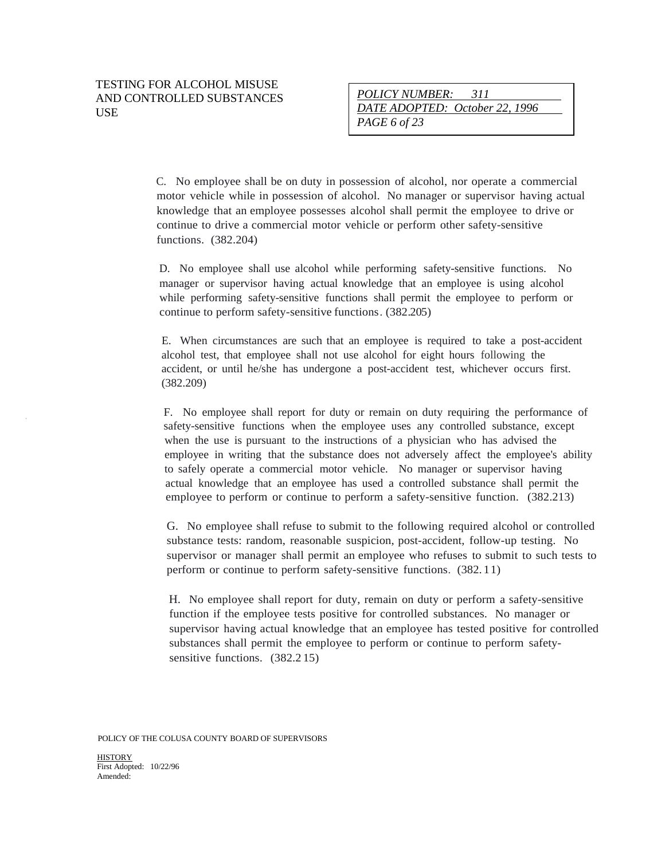C. No employee shall be on duty in possession of alcohol, nor operate a commercial motor vehicle while in possession of alcohol. No manager or supervisor having actual knowledge that an employee possesses alcohol shall permit the employee to drive or continue to drive a commercial motor vehicle or perform other safety-sensitive functions. (382.204)

D. No employee shall use alcohol while performing safety-sensitive functions. No manager or supervisor having actual knowledge that an employee is using alcohol while performing safety-sensitive functions shall permit the employee to perform or continue to perform safety-sensitive functions. (382.205)

E. When circumstances are such that an employee is required to take a post-accident alcohol test, that employee shall not use alcohol for eight hours following the accident, or until he/she has undergone a post-accident test, whichever occurs first. (382.209)

*.* F. No employee shall report for duty or remain on duty requiring the performance of safety-sensitive functions when the employee uses any controlled substance, except when the use is pursuant to the instructions of a physician who has advised the employee in writing that the substance does not adversely affect the employee's ability to safely operate a commercial motor vehicle. No manager or supervisor having actual knowledge that an employee has used a controlled substance shall permit the employee to perform or continue to perform a safety-sensitive function. (382.213)

G. No employee shall refuse to submit to the following required alcohol or controlled substance tests: random, reasonable suspicion, post-accident, follow-up testing. No supervisor or manager shall permit an employee who refuses to submit to such tests to perform or continue to perform safety-sensitive functions. (382. 11)

H. No employee shall report for duty, remain on duty or perform a safety-sensitive function if the employee tests positive for controlled substances. No manager or supervisor having actual knowledge that an employee has tested positive for controlled substances shall permit the employee to perform or continue to perform safetysensitive functions. (382.2 15)

POLICY OF THE COLUSA COUNTY BOARD OF SUPERVISORS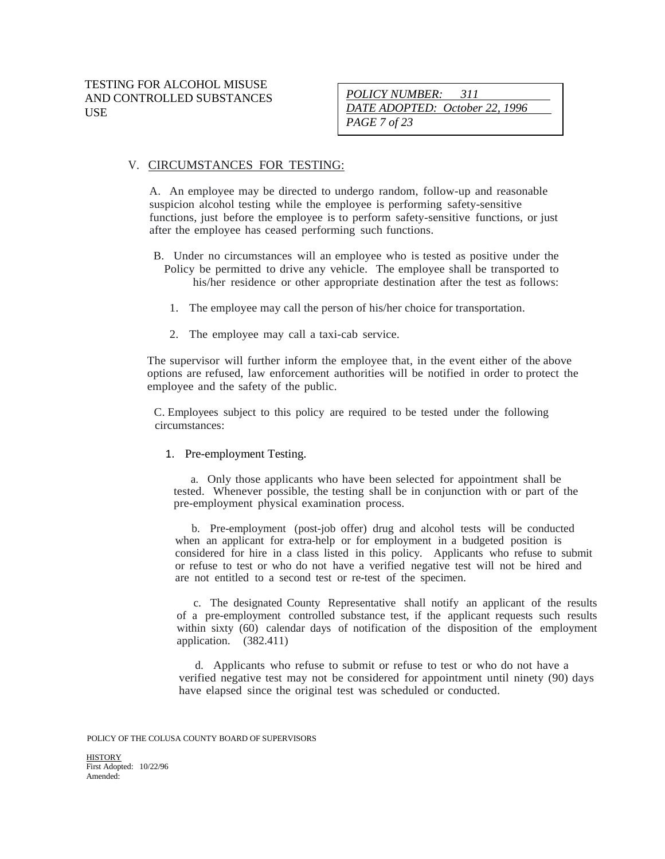*POLICY NUMBER: 311 DATE ADOPTED: October 22, 1996 PAGE 7 of 23*

#### V. CIRCUMSTANCES FOR TESTING:

A. An employee may be directed to undergo random, follow-up and reasonable suspicion alcohol testing while the employee is performing safety-sensitive functions, just before the employee is to perform safety-sensitive functions, or just after the employee has ceased performing such functions.

- B. Under no circumstances will an employee who is tested as positive under the Policy be permitted to drive any vehicle. The employee shall be transported to his/her residence or other appropriate destination after the test as follows:
	- 1. The employee may call the person of his/her choice for transportation.
	- 2. The employee may call a taxi-cab service.

The supervisor will further inform the employee that, in the event either of the above options are refused, law enforcement authorities will be notified in order to protect the employee and the safety of the public.

C. Employees subject to this policy are required to be tested under the following circumstances:

1. Pre-employment Testing.

a. Only those applicants who have been selected for appointment shall be tested. Whenever possible, the testing shall be in conjunction with or part of the pre-employment physical examination process.

b. Pre-employment (post-job offer) drug and alcohol tests will be conducted when an applicant for extra-help or for employment in a budgeted position is considered for hire in a class listed in this policy. Applicants who refuse to submit or refuse to test or who do not have a verified negative test will not be hired and are not entitled to a second test or re-test of the specimen.

c. The designated County Representative shall notify an applicant of the results of a pre-employment controlled substance test, if the applicant requests such results within sixty (60) calendar days of notification of the disposition of the employment application. (382.411)

d. Applicants who refuse to submit or refuse to test or who do not have a verified negative test may not be considered for appointment until ninety (90) days have elapsed since the original test was scheduled or conducted.

POLICY OF THE COLUSA COUNTY BOARD OF SUPERVISORS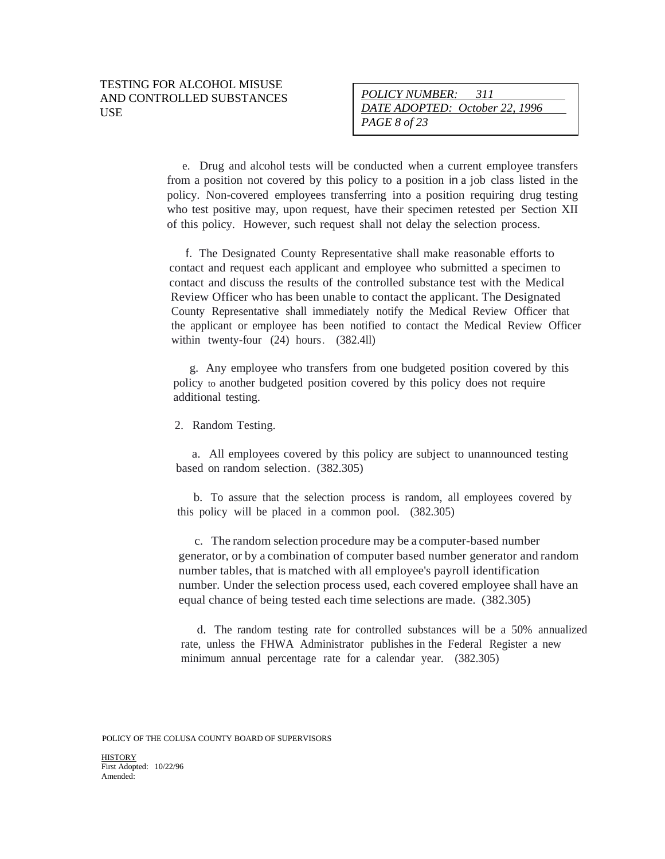e. Drug and alcohol tests will be conducted when a current employee transfers from a position not covered by this policy to a position in a job class listed in the policy. Non-covered employees transferring into a position requiring drug testing who test positive may, upon request, have their specimen retested per Section XII of this policy. However, such request shall not delay the selection process.

f. The Designated County Representative shall make reasonable efforts to contact and request each applicant and employee who submitted a specimen to contact and discuss the results of the controlled substance test with the Medical Review Officer who has been unable to contact the applicant. The Designated County Representative shall immediately notify the Medical Review Officer that the applicant or employee has been notified to contact the Medical Review Officer within twenty-four (24) hours. (382.4ll)

g. Any employee who transfers from one budgeted position covered by this policy to another budgeted position covered by this policy does not require additional testing.

2. Random Testing.

a. All employees covered by this policy are subject to unannounced testing based on random selection. (382.305)

b. To assure that the selection process is random, all employees covered by this policy will be placed in a common pool. (382.305)

c. The random selection procedure may be a computer-based number generator, or by a combination of computer based number generator and random number tables, that is matched with all employee's payroll identification number. Under the selection process used, each covered employee shall have an equal chance of being tested each time selections are made. (382.305)

d. The random testing rate for controlled substances will be a 50% annualized rate, unless the FHWA Administrator publishes in the Federal Register a new minimum annual percentage rate for a calendar year. (382.305)

POLICY OF THE COLUSA COUNTY BOARD OF SUPERVISORS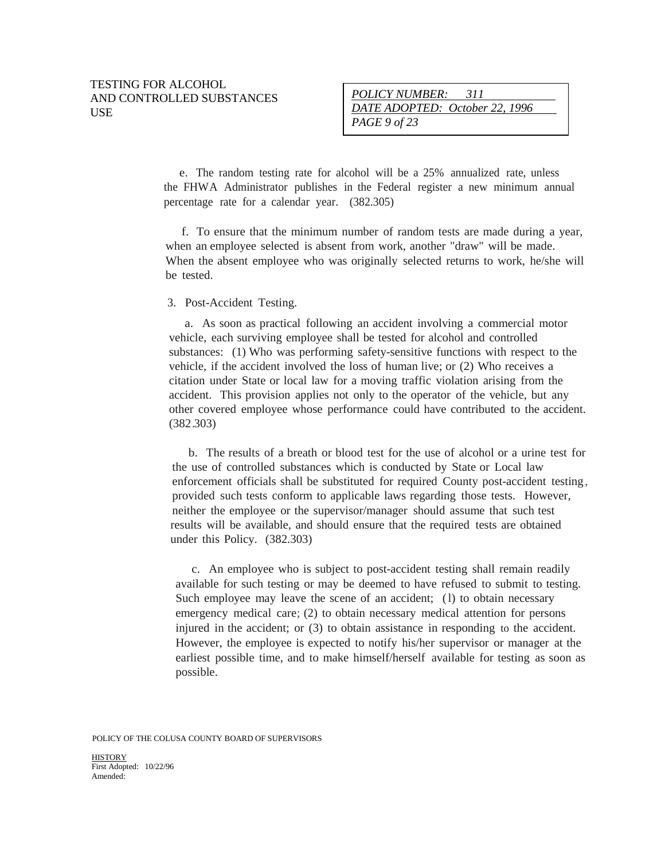| <i>POLICY NUMBER:</i><br>-311  |  |
|--------------------------------|--|
| DATE ADOPTED: October 22, 1996 |  |
| PAGE 9 of 23                   |  |

e. The random testing rate for alcohol will be a 25% annualized rate, unless the FHWA Administrator publishes in the Federal register a new minimum annual percentage rate for a calendar year. (382.305)

f. To ensure that the minimum number of random tests are made during a year, when an employee selected is absent from work, another "draw" will be made. When the absent employee who was originally selected returns to work, he/she will be tested.

#### 3. Post-Accident Testing.

a. As soon as practical following an accident involving a commercial motor vehicle, each surviving employee shall be tested for alcohol and controlled substances: (1) Who was performing safety-sensitive functions with respect to the vehicle, if the accident involved the loss of human live; or (2) Who receives a citation under State or local law for a moving traffic violation arising from the accident. This provision applies not only to the operator of the vehicle, but any other covered employee whose performance could have contributed to the accident. (382.303)

b. The results of a breath or blood test for the use of alcohol or a urine test for the use of controlled substances which is conducted by State or Local law enforcement officials shall be substituted for required County post-accident testing, provided such tests conform to applicable laws regarding those tests. However, neither the employee or the supervisor/manager should assume that such test results will be available, and should ensure that the required tests are obtained under this Policy. (382.303)

c. An employee who is subject to post-accident testing shall remain readily available for such testing or may be deemed to have refused to submit to testing. Such employee may leave the scene of an accident; (l) to obtain necessary emergency medical care; (2) to obtain necessary medical attention for persons injured in the accident; or (3) to obtain assistance in responding to the accident. However, the employee is expected to notify his/her supervisor or manager at the earliest possible time, and to make himself/herself available for testing as soon as possible.

POLICY OF THE COLUSA COUNTY BOARD OF SUPERVISORS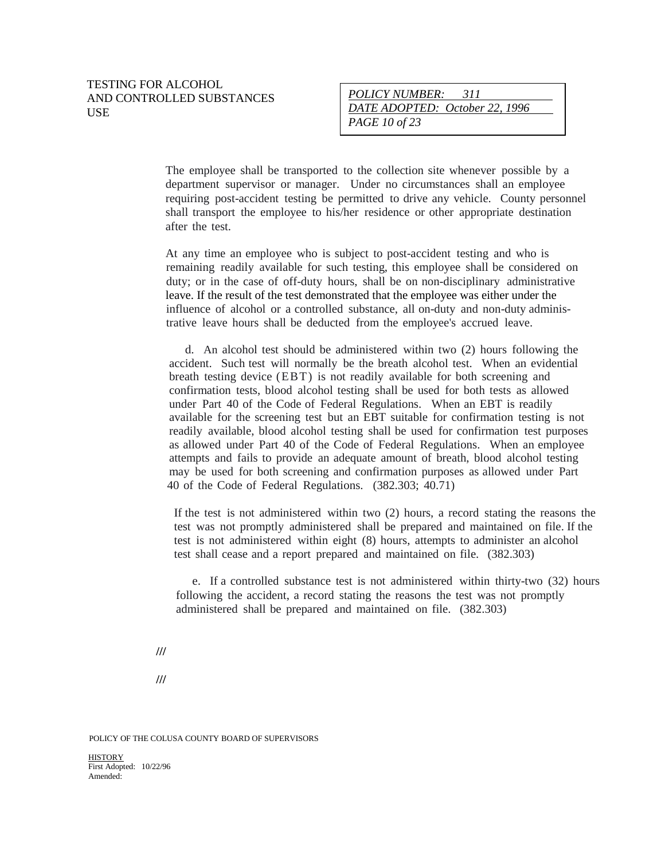The employee shall be transported to the collection site whenever possible by a department supervisor or manager. Under no circumstances shall an employee requiring post-accident testing be permitted to drive any vehicle. County personnel shall transport the employee to his/her residence or other appropriate destination after the test.

At any time an employee who is subject to post-accident testing and who is remaining readily available for such testing, this employee shall be considered on duty; or in the case of off-duty hours, shall be on non-disciplinary administrative leave. If the result of the test demonstrated that the employee was either under the influence of alcohol or a controlled substance, all on-duty and non-duty administrative leave hours shall be deducted from the employee's accrued leave.

d. An alcohol test should be administered within two (2) hours following the accident. Such test will normally be the breath alcohol test. When an evidential breath testing device (EBT) is not readily available for both screening and confirmation tests, blood alcohol testing shall be used for both tests as allowed under Part 40 of the Code of Federal Regulations. When an EBT is readily available for the screening test but an EBT suitable for confirmation testing is not readily available, blood alcohol testing shall be used for confirmation test purposes as allowed under Part 40 of the Code of Federal Regulations. When an employee attempts and fails to provide an adequate amount of breath, blood alcohol testing may be used for both screening and confirmation purposes as allowed under Part 40 of the Code of Federal Regulations. (382.303; 40.71)

If the test is not administered within two (2) hours, a record stating the reasons the test was not promptly administered shall be prepared and maintained on file. If the test is not administered within eight (8) hours, attempts to administer an alcohol test shall cease and a report prepared and maintained on file. (382.303)

e. If a controlled substance test is not administered within thirty-two (32) hours following the accident, a record stating the reasons the test was not promptly administered shall be prepared and maintained on file. (382.303)

**///**

**///**

POLICY OF THE COLUSA COUNTY BOARD OF SUPERVISORS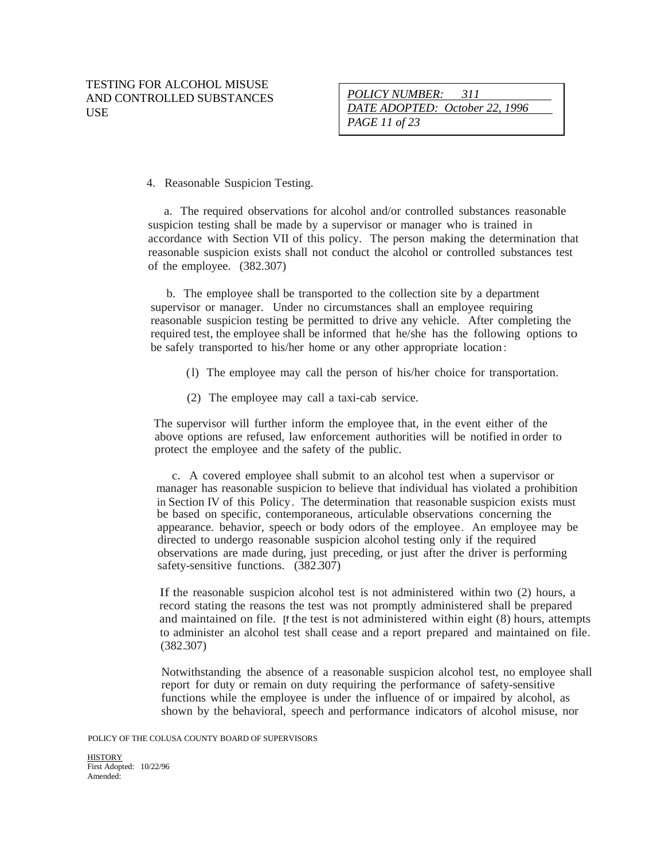*POLICY NUMBER: 311 DATE ADOPTED: October 22, 1996 PAGE 11 of 23*

4. Reasonable Suspicion Testing.

a. The required observations for alcohol and/or controlled substances reasonable suspicion testing shall be made by a supervisor or manager who is trained in accordance with Section VII of this policy. The person making the determination that reasonable suspicion exists shall not conduct the alcohol or controlled substances test of the employee. (382.307)

b. The employee shall be transported to the collection site by a department supervisor or manager. Under no circumstances shall an employee requiring reasonable suspicion testing be permitted to drive any vehicle. After completing the required test, the employee shall be informed that he/she has the following options to be safely transported to his/her home or any other appropriate location:

- (l) The employee may call the person of his/her choice for transportation.
- (2) The employee may call a taxi-cab service.

The supervisor will further inform the employee that, in the event either of the above options are refused, law enforcement authorities will be notified in order to protect the employee and the safety of the public.

c. A covered employee shall submit to an alcohol test when a supervisor or manager has reasonable suspicion to believe that individual has violated a prohibition in Section IV of this Policy. The determination that reasonable suspicion exists must be based on specific, contemporaneous, articulable observations concerning the appearance. behavior, speech or body odors of the employee. An employee may be directed to undergo reasonable suspicion alcohol testing only if the required observations are made during, just preceding, or just after the driver is performing safety-sensitive functions. (382.307)

If the reasonable suspicion alcohol test is not administered within two (2) hours, a record stating the reasons the test was not promptly administered shall be prepared and maintained on file. [f the test is not administered within eight (8) hours, attempts to administer an alcohol test shall cease and a report prepared and maintained on file. (382.307)

Notwithstanding the absence of a reasonable suspicion alcohol test, no employee shall report for duty or remain on duty requiring the performance of safety-sensitive functions while the employee is under the influence of or impaired by alcohol, as shown by the behavioral, speech and performance indicators of alcohol misuse, nor

POLICY OF THE COLUSA COUNTY BOARD OF SUPERVISORS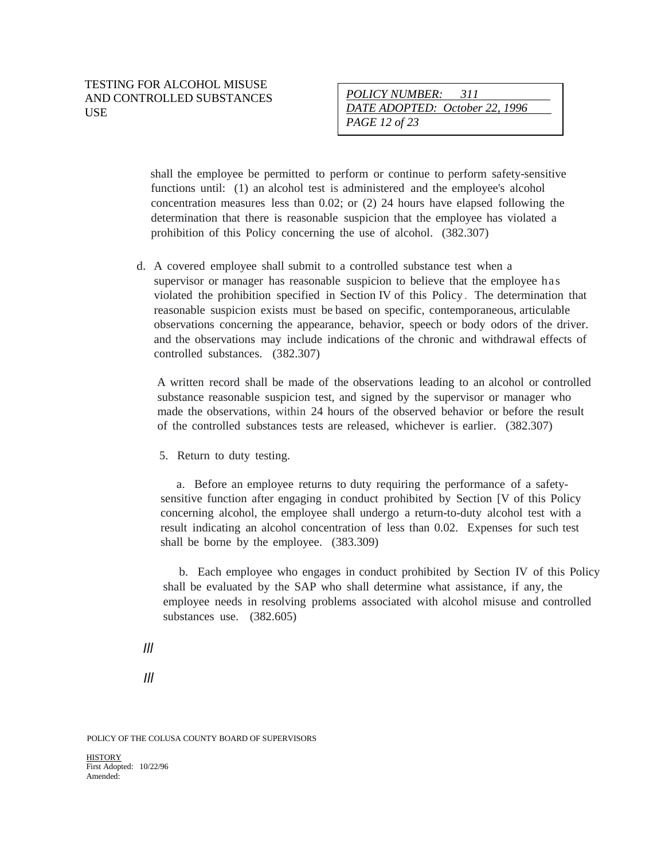shall the employee be permitted to perform or continue to perform safety-sensitive functions until: (1) an alcohol test is administered and the employee's alcohol concentration measures less than 0.02; or (2) 24 hours have elapsed following the determination that there is reasonable suspicion that the employee has violated a prohibition of this Policy concerning the use of alcohol. (382.307)

d. A covered employee shall submit to a controlled substance test when a supervisor or manager has reasonable suspicion to believe that the employee has violated the prohibition specified in Section IV of this Policy . The determination that reasonable suspicion exists must be based on specific, contemporaneous, articulable observations concerning the appearance, behavior, speech or body odors of the driver. and the observations may include indications of the chronic and withdrawal effects of controlled substances. (382.307)

A written record shall be made of the observations leading to an alcohol or controlled substance reasonable suspicion test, and signed by the supervisor or manager who made the observations, within 24 hours of the observed behavior or before the result of the controlled substances tests are released, whichever is earlier. (382.307)

5. Return to duty testing.

a. Before an employee returns to duty requiring the performance of a safetysensitive function after engaging in conduct prohibited by Section [V of this Policy concerning alcohol, the employee shall undergo a return-to-duty alcohol test with a result indicating an alcohol concentration of less than 0.02. Expenses for such test shall be borne by the employee. (383.309)

b. Each employee who engages in conduct prohibited by Section IV of this Policy shall be evaluated by the SAP who shall determine what assistance, if any, the employee needs in resolving problems associated with alcohol misuse and controlled substances use. (382.605)

*Ill*

*Ill*

POLICY OF THE COLUSA COUNTY BOARD OF SUPERVISORS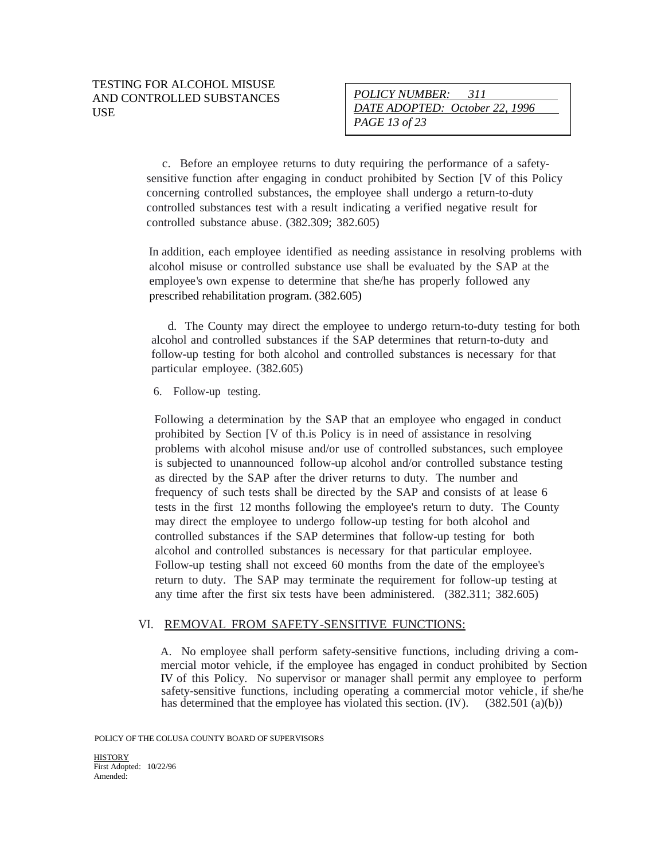c. Before an employee returns to duty requiring the performance of a safetysensitive function after engaging in conduct prohibited by Section [V of this Policy concerning controlled substances, the employee shall undergo a return-to-duty controlled substances test with a result indicating a verified negative result for controlled substance abuse. (382.309; 382.605)

In addition, each employee identified as needing assistance in resolving problems with alcohol misuse or controlled substance use shall be evaluated by the SAP at the employee's own expense to determine that she/he has properly followed any prescribed rehabilitation program. (382.605)

d. The County may direct the employee to undergo return-to-duty testing for both alcohol and controlled substances if the SAP determines that return-to-duty and follow-up testing for both alcohol and controlled substances is necessary for that particular employee. (382.605)

6. Follow-up testing.

Following a determination by the SAP that an employee who engaged in conduct prohibited by Section [V of th.is Policy is in need of assistance in resolving problems with alcohol misuse and/or use of controlled substances, such employee is subjected to unannounced follow-up alcohol and/or controlled substance testing as directed by the SAP after the driver returns to duty. The number and frequency of such tests shall be directed by the SAP and consists of at lease 6 tests in the first 12 months following the employee's return to duty. The County may direct the employee to undergo follow-up testing for both alcohol and controlled substances if the SAP determines that follow-up testing for both alcohol and controlled substances is necessary for that particular employee. Follow-up testing shall not exceed 60 months from the date of the employee's return to duty. The SAP may terminate the requirement for follow-up testing at any time after the first six tests have been administered. (382.311; 382.605)

#### VI. REMOVAL FROM SAFETY-SENSITIVE FUNCTIONS:

A. No employee shall perform safety-sensitive functions, including driving a commercial motor vehicle, if the employee has engaged in conduct prohibited by Section IV of this Policy. No supervisor or manager shall permit any employee to perform safety-sensitive functions, including operating a commercial motor vehicle, if she/he has determined that the employee has violated this section. (IV). (382.501 (a)(b))

POLICY OF THE COLUSA COUNTY BOARD OF SUPERVISORS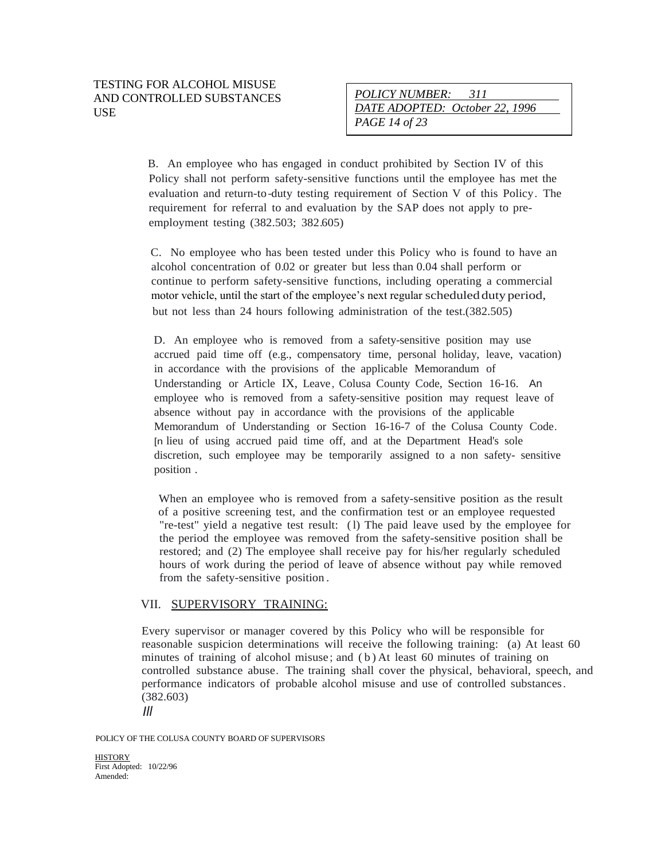B. An employee who has engaged in conduct prohibited by Section IV of this Policy shall not perform safety-sensitive functions until the employee has met the evaluation and return-to-duty testing requirement of Section V of this Policy. The requirement for referral to and evaluation by the SAP does not apply to preemployment testing (382.503; 382.605)

C. No employee who has been tested under this Policy who is found to have an alcohol concentration of 0.02 or greater but less than 0.04 shall perform or continue to perform safety-sensitive functions, including operating a commercial motor vehicle, until the start of the employee's next regular scheduledduty period, but not less than 24 hours following administration of the test.(382.505)

D. An employee who is removed from a safety-sensitive position may use accrued paid time off (e.g., compensatory time, personal holiday, leave, vacation) in accordance with the provisions of the applicable Memorandum of Understanding or Article IX, Leave, Colusa County Code, Section 16-16. An employee who is removed from a safety-sensitive position may request leave of absence without pay in accordance with the provisions of the applicable Memorandum of Understanding or Section 16-16-7 of the Colusa County Code. [n lieu of using accrued paid time off, and at the Department Head's sole discretion, such employee may be temporarily assigned to a non safety- sensitive position .

When an employee who is removed from a safety-sensitive position as the result of a positive screening test, and the confirmation test or an employee requested "re-test" yield a negative test result: (l) The paid leave used by the employee for the period the employee was removed from the safety-sensitive position shall be restored; and (2) The employee shall receive pay for his/her regularly scheduled hours of work during the period of leave of absence without pay while removed from the safety-sensitive position .

#### VII. SUPERVISORY TRAINING:

Every supervisor or manager covered by this Policy who will be responsible for reasonable suspicion determinations will receive the following training: (a) At least 60 minutes of training of alcohol misuse ; and ( b ) At least 60 minutes of training on controlled substance abuse. The training shall cover the physical, behavioral, speech, and performance indicators of probable alcohol misuse and use of controlled substances. (382.603)

*Ill*

POLICY OF THE COLUSA COUNTY BOARD OF SUPERVISORS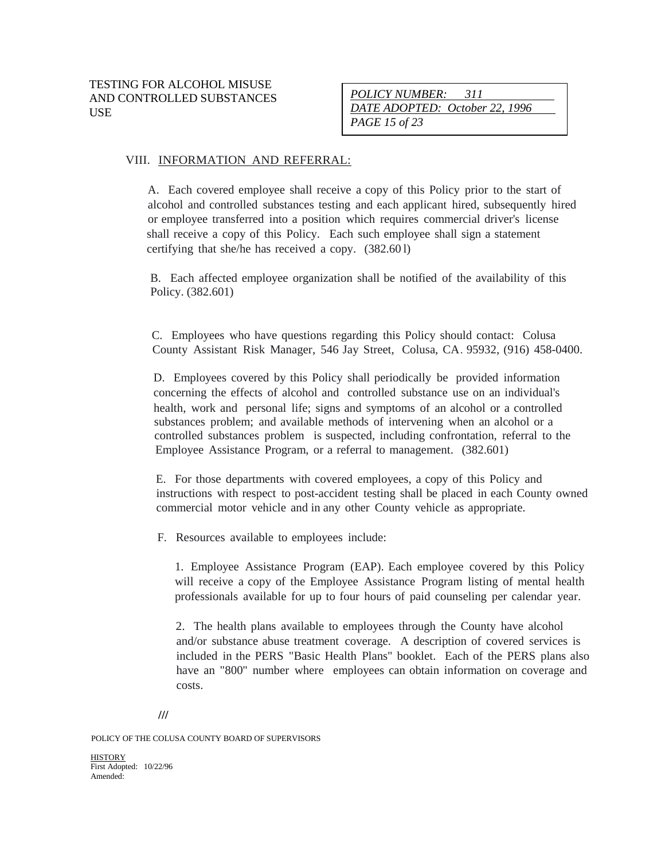*POLICY NUMBER: 311 DATE ADOPTED: October 22, 1996 PAGE 15 of 23*

#### VIII. INFORMATION AND REFERRAL:

A. Each covered employee shall receive a copy of this Policy prior to the start of alcohol and controlled substances testing and each applicant hired, subsequently hired or employee transferred into a position which requires commercial driver's license shall receive a copy of this Policy. Each such employee shall sign a statement certifying that she/he has received a copy. (382.60 l)

B. Each affected employee organization shall be notified of the availability of this Policy. (382.601)

C. Employees who have questions regarding this Policy should contact: Colusa County Assistant Risk Manager, 546 Jay Street, Colusa, CA. 95932, (916) 458-0400.

D. Employees covered by this Policy shall periodically be provided information concerning the effects of alcohol and controlled substance use on an individual's health, work and personal life; signs and symptoms of an alcohol or a controlled substances problem; and available methods of intervening when an alcohol or a controlled substances problem is suspected, including confrontation, referral to the Employee Assistance Program, or a referral to management. (382.601)

E. For those departments with covered employees, a copy of this Policy and instructions with respect to post-accident testing shall be placed in each County owned commercial motor vehicle and in any other County vehicle as appropriate.

F. Resources available to employees include:

1. Employee Assistance Program (EAP). Each employee covered by this Policy will receive a copy of the Employee Assistance Program listing of mental health professionals available for up to four hours of paid counseling per calendar year.

2. The health plans available to employees through the County have alcohol and/or substance abuse treatment coverage. A description of covered services is included in the PERS "Basic Health Plans" booklet. Each of the PERS plans also have an "800" number where employees can obtain information on coverage and costs.

**///**

POLICY OF THE COLUSA COUNTY BOARD OF SUPERVISORS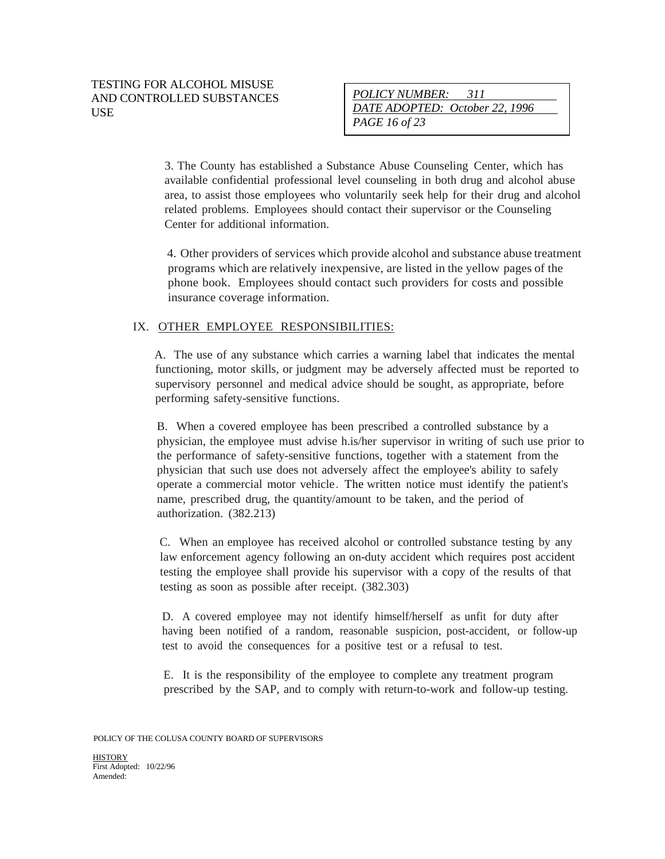3. The County has established a Substance Abuse Counseling Center, which has available confidential professional level counseling in both drug and alcohol abuse area, to assist those employees who voluntarily seek help for their drug and alcohol related problems. Employees should contact their supervisor or the Counseling Center for additional information.

4. Other providers of services which provide alcohol and substance abuse treatment programs which are relatively inexpensive, are listed in the yellow pages of the phone book. Employees should contact such providers for costs and possible insurance coverage information.

## IX. OTHER EMPLOYEE RESPONSIBILITIES:

A. The use of any substance which carries a warning label that indicates the mental functioning, motor skills, or judgment may be adversely affected must be reported to supervisory personnel and medical advice should be sought, as appropriate, before performing safety-sensitive functions.

B. When a covered employee has been prescribed a controlled substance by a physician, the employee must advise h.is/her supervisor in writing of such use prior to the performance of safety-sensitive functions, together with a statement from the physician that such use does not adversely affect the employee's ability to safely operate a commercial motor vehicle. The written notice must identify the patient's name, prescribed drug, the quantity/amount to be taken, and the period of authorization. (382.213)

C. When an employee has received alcohol or controlled substance testing by any law enforcement agency following an on-duty accident which requires post accident testing the employee shall provide his supervisor with a copy of the results of that testing as soon as possible after receipt. (382.303)

D. A covered employee may not identify himself/herself as unfit for duty after having been notified of a random, reasonable suspicion, post-accident, or follow-up test to avoid the consequences for a positive test or a refusal to test.

E. It is the responsibility of the employee to complete any treatment program prescribed by the SAP, and to comply with return-to-work and follow-up testing.

POLICY OF THE COLUSA COUNTY BOARD OF SUPERVISORS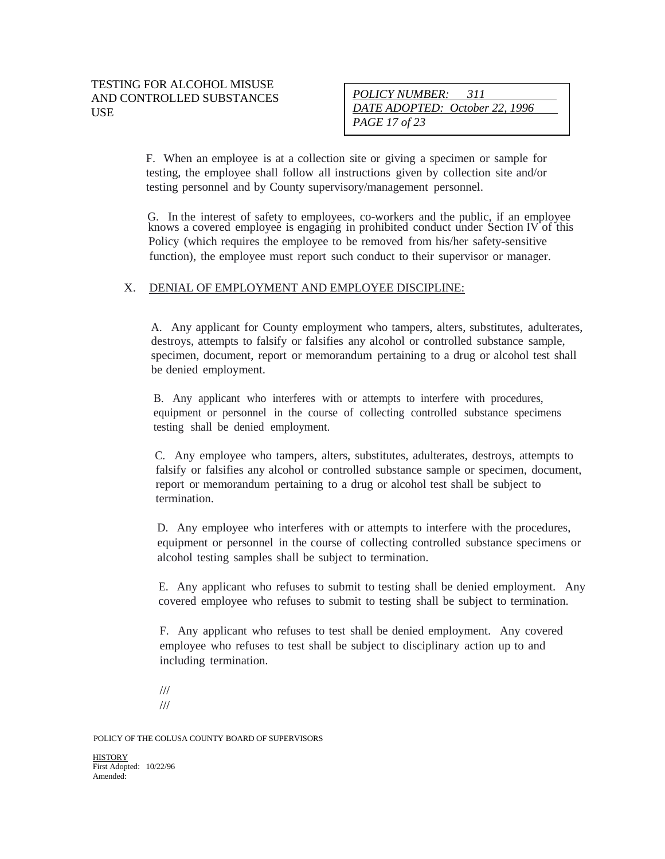F. When an employee is at a collection site or giving a specimen or sample for testing, the employee shall follow all instructions given by collection site and/or testing personnel and by County supervisory/management personnel.

G. In the interest of safety to employees, co-workers and the public, if an employee knows a covered employee is engaging in prohibited conduct under Section IV of this Policy (which requires the employee to be removed from his/her safety-sensitive function), the employee must report such conduct to their supervisor or manager.

#### X. DENIAL OF EMPLOYMENT AND EMPLOYEE DISCIPLINE:

A. Any applicant for County employment who tampers, alters, substitutes, adulterates, destroys, attempts to falsify or falsifies any alcohol or controlled substance sample, specimen, document, report or memorandum pertaining to a drug or alcohol test shall be denied employment.

B. Any applicant who interferes with or attempts to interfere with procedures, equipment or personnel in the course of collecting controlled substance specimens testing shall be denied employment.

C. Any employee who tampers, alters, substitutes, adulterates, destroys, attempts to falsify or falsifies any alcohol or controlled substance sample or specimen, document, report or memorandum pertaining to a drug or alcohol test shall be subject to termination.

D. Any employee who interferes with or attempts to interfere with the procedures, equipment or personnel in the course of collecting controlled substance specimens or alcohol testing samples shall be subject to termination.

E. Any applicant who refuses to submit to testing shall be denied employment. Any covered employee who refuses to submit to testing shall be subject to termination.

F. Any applicant who refuses to test shall be denied employment. Any covered employee who refuses to test shall be subject to disciplinary action up to and including termination.

/// ///

POLICY OF THE COLUSA COUNTY BOARD OF SUPERVISORS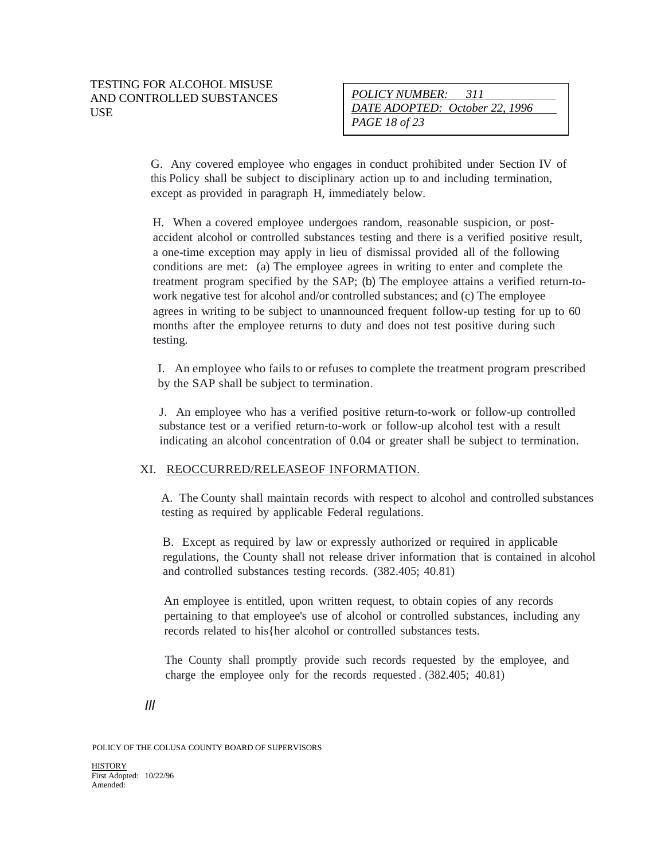G. Any covered employee who engages in conduct prohibited under Section IV of this Policy shall be subject to disciplinary action up to and including termination, except as provided in paragraph H, immediately below.

H. When a covered employee undergoes random, reasonable suspicion, or postaccident alcohol or controlled substances testing and there is a verified positive result, a one-time exception may apply in lieu of dismissal provided all of the following conditions are met: (a) The employee agrees in writing to enter and complete the treatment program specified by the SAP; (b) The employee attains a verified return-towork negative test for alcohol and/or controlled substances; and (c) The employee agrees in writing to be subject to unannounced frequent follow-up testing for up to 60 months after the employee returns to duty and does not test positive during such testing.

I. An employee who fails to or refuses to complete the treatment program prescribed by the SAP shall be subject to termination.

J. An employee who has a verified positive return-to-work or follow-up controlled substance test or a verified return-to-work or follow-up alcohol test with a result indicating an alcohol concentration of 0.04 or greater shall be subject to termination.

#### XI. REOCCURRED/RELEASEOF INFORMATION.

A. The County shall maintain records with respect to alcohol and controlled substances testing as required by applicable Federal regulations.

B. Except as required by law or expressly authorized or required in applicable regulations, the County shall not release driver information that is contained in alcohol and controlled substances testing records. (382.405; 40.81)

An employee is entitled, upon written request, to obtain copies of any records pertaining to that employee's use of alcohol or controlled substances, including any records related to his{her alcohol or controlled substances tests.

The County shall promptly provide such records requested by the employee, and charge the employee only for the records requested . (382.405; 40.81)

*Ill*

POLICY OF THE COLUSA COUNTY BOARD OF SUPERVISORS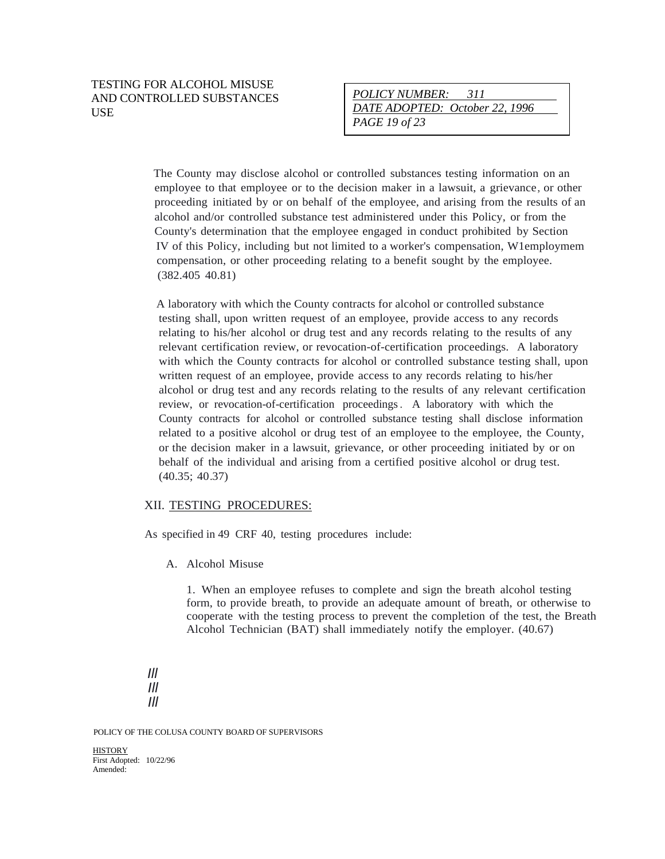The County may disclose alcohol or controlled substances testing information on an employee to that employee or to the decision maker in a lawsuit, a grievance, or other proceeding initiated by or on behalf of the employee, and arising from the results of an alcohol and/or controlled substance test administered under this Policy, or from the County's determination that the employee engaged in conduct prohibited by Section IV of this Policy, including but not limited to a worker's compensation, W1employmem compensation, or other proceeding relating to a benefit sought by the employee. (382.405 40.81)

A laboratory with which the County contracts for alcohol or controlled substance testing shall, upon written request of an employee, provide access to any records relating to his/her alcohol or drug test and any records relating to the results of any relevant certification review, or revocation-of-certification proceedings. A laboratory with which the County contracts for alcohol or controlled substance testing shall, upon written request of an employee, provide access to any records relating to his/her alcohol or drug test and any records relating to the results of any relevant certification review, or revocation-of-certification proceedings. A laboratory with which the County contracts for alcohol or controlled substance testing shall disclose information related to a positive alcohol or drug test of an employee to the employee, the County, or the decision maker in a lawsuit, grievance, or other proceeding initiated by or on behalf of the individual and arising from a certified positive alcohol or drug test. (40.35; 40.37)

#### XII. TESTING PROCEDURES:

As specified in 49 CRF 40, testing procedures include:

A. Alcohol Misuse

1. When an employee refuses to complete and sign the breath alcohol testing form, to provide breath, to provide an adequate amount of breath, or otherwise to cooperate with the testing process to prevent the completion of the test, the Breath Alcohol Technician (BAT) shall immediately notify the employer. (40.67)

*Ill Ill Ill*

POLICY OF THE COLUSA COUNTY BOARD OF SUPERVISORS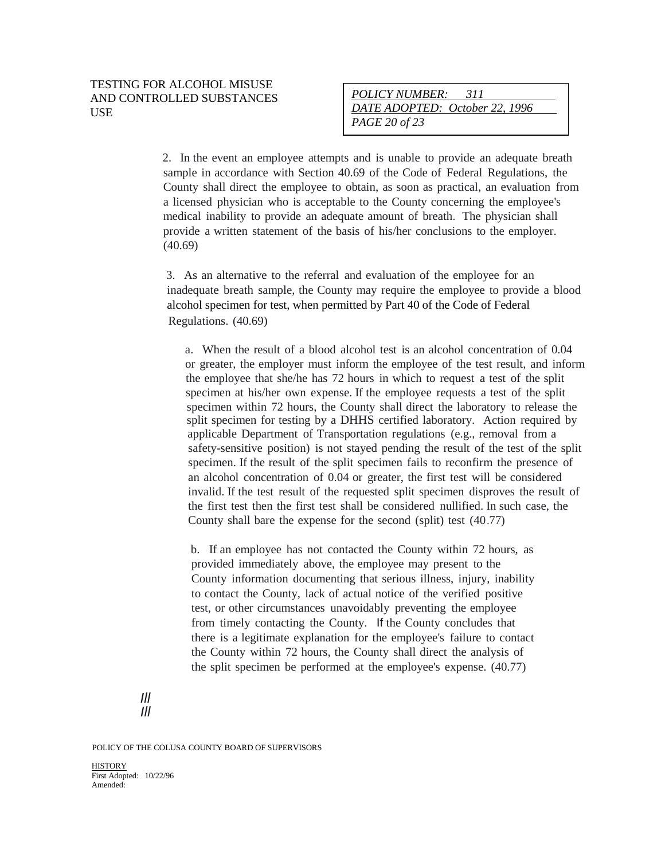2. In the event an employee attempts and is unable to provide an adequate breath sample in accordance with Section 40.69 of the Code of Federal Regulations, the County shall direct the employee to obtain, as soon as practical, an evaluation from a licensed physician who is acceptable to the County concerning the employee's medical inability to provide an adequate amount of breath. The physician shall provide a written statement of the basis of his/her conclusions to the employer. (40.69)

3. As an alternative to the referral and evaluation of the employee for an inadequate breath sample, the County may require the employee to provide a blood alcohol specimen for test, when permitted by Part 40 of the Code of Federal Regulations. (40.69)

a. When the result of a blood alcohol test is an alcohol concentration of 0.04 or greater, the employer must inform the employee of the test result, and inform the employee that she/he has 72 hours in which to request a test of the split specimen at his/her own expense. If the employee requests a test of the split specimen within 72 hours, the County shall direct the laboratory to release the split specimen for testing by a DHHS certified laboratory. Action required by applicable Department of Transportation regulations (e.g., removal from a safety-sensitive position) is not stayed pending the result of the test of the split specimen. If the result of the split specimen fails to reconfirm the presence of an alcohol concentration of 0.04 or greater, the first test will be considered invalid. If the test result of the requested split specimen disproves the result of the first test then the first test shall be considered nullified. In such case, the County shall bare the expense for the second (split) test (40.77)

b. If an employee has not contacted the County within 72 hours, as provided immediately above, the employee may present to the County information documenting that serious illness, injury, inability to contact the County, lack of actual notice of the verified positive test, or other circumstances unavoidably preventing the employee from timely contacting the County. If the County concludes that there is a legitimate explanation for the employee's failure to contact the County within 72 hours, the County shall direct the analysis of the split specimen be performed at the employee's expense. (40.77)

POLICY OF THE COLUSA COUNTY BOARD OF SUPERVISORS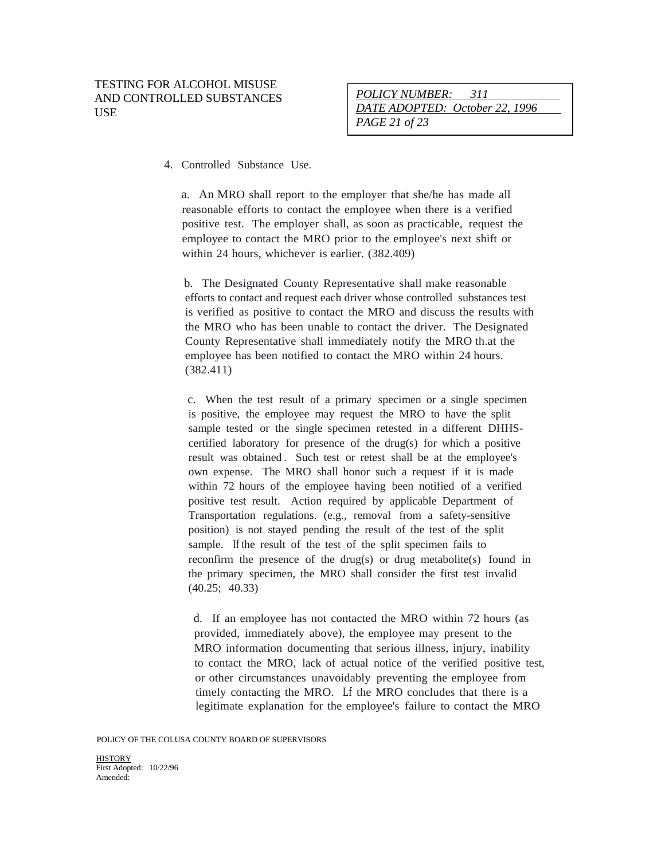*POLICY NUMBER: 311 DATE ADOPTED: October 22, 1996 PAGE 21 of 23*

#### 4. Controlled Substance Use.

a. An MRO shall report to the employer that she/he has made all reasonable efforts to contact the employee when there is a verified positive test. The employer shall, as soon as practicable, request the employee to contact the MRO prior to the employee's next shift or within 24 hours, whichever is earlier. (382.409)

b. The Designated County Representative shall make reasonable efforts to contact and request each driver whose controlled substances test is verified as positive to contact the MRO and discuss the results with the MRO who has been unable to contact the driver. The Designated County Representative shall immediately notify the MRO th.at the employee has been notified to contact the MRO within 24 hours. (382.411)

c. When the test result of a primary specimen or a single specimen is positive, the employee may request the MRO to have the split sample tested or the single specimen retested in a different DHHScertified laboratory for presence of the drug(s) for which a positive result was obtained . Such test or retest shall be at the employee's own expense. The MRO shall honor such a request if it is made within 72 hours of the employee having been notified of a verified positive test result. Action required by applicable Department of Transportation regulations. (e.g., removal from a safety-sensitive position) is not stayed pending the result of the test of the split sample. If the result of the test of the split specimen fails to reconfirm the presence of the drug(s) or drug metabolite(s) found in the primary specimen, the MRO shall consider the first test invalid (40.25; 40.33)

d. If an employee has not contacted the MRO within 72 hours (as provided, immediately above), the employee may present to the MRO information documenting that serious illness, injury, inability to contact the MRO, lack of actual notice of the verified positive test, or other circumstances unavoidably preventing the employee from timely contacting the MRO. Lf the MRO concludes that there is a legitimate explanation for the employee's failure to contact the MRO

POLICY OF THE COLUSA COUNTY BOARD OF SUPERVISORS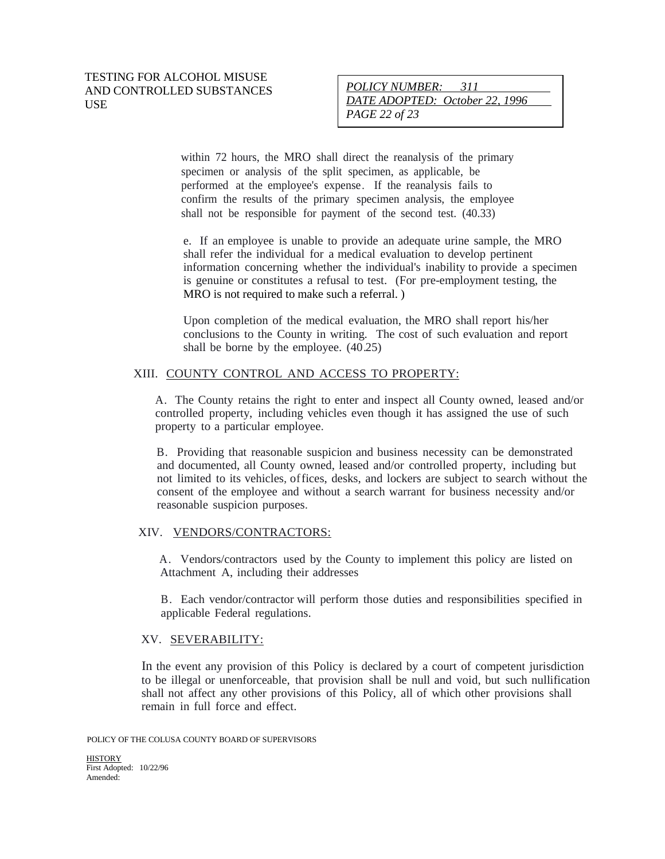# *POLICY NUMBER: 311 DATE ADOPTED: October 22, 1996 PAGE 22 of 23*

within 72 hours, the MRO shall direct the reanalysis of the primary specimen or analysis of the split specimen, as applicable, be performed at the employee's expense. If the reanalysis fails to confirm the results of the primary specimen analysis, the employee shall not be responsible for payment of the second test. (40.33)

e. If an employee is unable to provide an adequate urine sample, the MRO shall refer the individual for a medical evaluation to develop pertinent information concerning whether the individual's inability to provide a specimen is genuine or constitutes a refusal to test. (For pre-employment testing, the MRO is not required to make such a referral. )

Upon completion of the medical evaluation, the MRO shall report his/her conclusions to the County in writing. The cost of such evaluation and report shall be borne by the employee. (40.25)

## XIII. COUNTY CONTROL AND ACCESS TO PROPERTY:

A. The County retains the right to enter and inspect all County owned, leased and/or controlled property, including vehicles even though it has assigned the use of such property to a particular employee.

B. Providing that reasonable suspicion and business necessity can be demonstrated and documented, all County owned, leased and/or controlled property, including but not limited to its vehicles, offices, desks, and lockers are subject to search without the consent of the employee and without a search warrant for business necessity and/or reasonable suspicion purposes.

#### XIV. VENDORS/CONTRACTORS:

A. Vendors/contractors used by the County to implement this policy are listed on Attachment A, including their addresses

B. Each vendor/contractor will perform those duties and responsibilities specified in applicable Federal regulations.

#### XV. SEVERABILITY:

In the event any provision of this Policy is declared by a court of competent jurisdiction to be illegal or unenforceable, that provision shall be null and void, but such nullification shall not affect any other provisions of this Policy, all of which other provisions shall remain in full force and effect.

POLICY OF THE COLUSA COUNTY BOARD OF SUPERVISORS